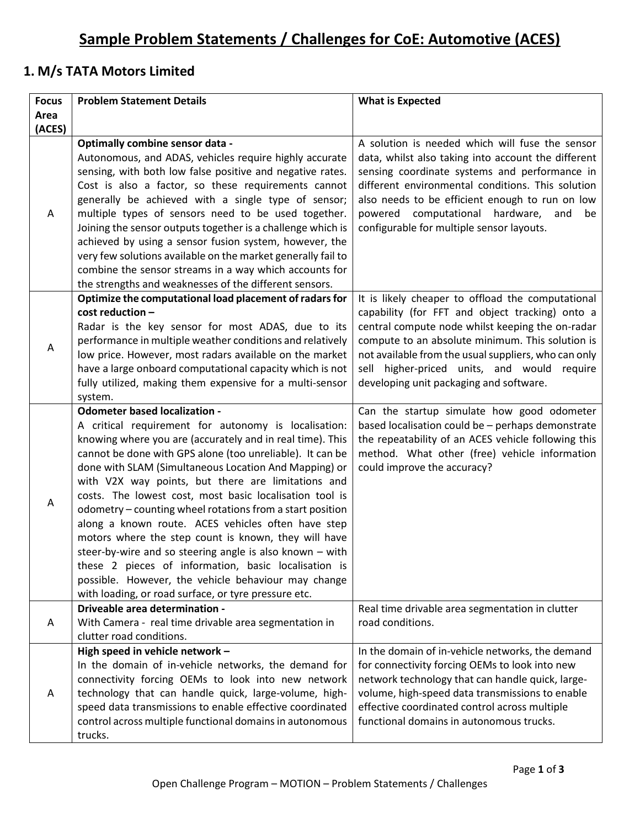### **1. M/s TATA Motors Limited**

| <b>Focus</b> | <b>Problem Statement Details</b>                                                                                                                                                                                                                                                                                                                                                                                                                                                                                                                                                                                                                                                                                                                                                                               | <b>What is Expected</b>                                                                                                                                                                                                                                                                                                                                        |
|--------------|----------------------------------------------------------------------------------------------------------------------------------------------------------------------------------------------------------------------------------------------------------------------------------------------------------------------------------------------------------------------------------------------------------------------------------------------------------------------------------------------------------------------------------------------------------------------------------------------------------------------------------------------------------------------------------------------------------------------------------------------------------------------------------------------------------------|----------------------------------------------------------------------------------------------------------------------------------------------------------------------------------------------------------------------------------------------------------------------------------------------------------------------------------------------------------------|
| Area         |                                                                                                                                                                                                                                                                                                                                                                                                                                                                                                                                                                                                                                                                                                                                                                                                                |                                                                                                                                                                                                                                                                                                                                                                |
| (ACES)       |                                                                                                                                                                                                                                                                                                                                                                                                                                                                                                                                                                                                                                                                                                                                                                                                                |                                                                                                                                                                                                                                                                                                                                                                |
| A            | Optimally combine sensor data -<br>Autonomous, and ADAS, vehicles require highly accurate<br>sensing, with both low false positive and negative rates.<br>Cost is also a factor, so these requirements cannot<br>generally be achieved with a single type of sensor;<br>multiple types of sensors need to be used together.<br>Joining the sensor outputs together is a challenge which is<br>achieved by using a sensor fusion system, however, the<br>very few solutions available on the market generally fail to<br>combine the sensor streams in a way which accounts for<br>the strengths and weaknesses of the different sensors.                                                                                                                                                                       | A solution is needed which will fuse the sensor<br>data, whilst also taking into account the different<br>sensing coordinate systems and performance in<br>different environmental conditions. This solution<br>also needs to be efficient enough to run on low<br>powered computational hardware,<br>and<br>be<br>configurable for multiple sensor layouts.   |
| A            | Optimize the computational load placement of radars for<br>cost reduction -<br>Radar is the key sensor for most ADAS, due to its<br>performance in multiple weather conditions and relatively<br>low price. However, most radars available on the market<br>have a large onboard computational capacity which is not<br>fully utilized, making them expensive for a multi-sensor<br>system.                                                                                                                                                                                                                                                                                                                                                                                                                    | It is likely cheaper to offload the computational<br>capability (for FFT and object tracking) onto a<br>central compute node whilst keeping the on-radar<br>compute to an absolute minimum. This solution is<br>not available from the usual suppliers, who can only<br>sell higher-priced units, and would require<br>developing unit packaging and software. |
| A            | <b>Odometer based localization -</b><br>A critical requirement for autonomy is localisation:<br>knowing where you are (accurately and in real time). This<br>cannot be done with GPS alone (too unreliable). It can be<br>done with SLAM (Simultaneous Location And Mapping) or<br>with V2X way points, but there are limitations and<br>costs. The lowest cost, most basic localisation tool is<br>odometry - counting wheel rotations from a start position<br>along a known route. ACES vehicles often have step<br>motors where the step count is known, they will have<br>steer-by-wire and so steering angle is also known - with<br>these 2 pieces of information, basic localisation is<br>possible. However, the vehicle behaviour may change<br>with loading, or road surface, or tyre pressure etc. | Can the startup simulate how good odometer<br>based localisation could be - perhaps demonstrate<br>the repeatability of an ACES vehicle following this<br>method. What other (free) vehicle information<br>could improve the accuracy?                                                                                                                         |
| Α            | Driveable area determination -<br>With Camera - real time drivable area segmentation in<br>clutter road conditions.                                                                                                                                                                                                                                                                                                                                                                                                                                                                                                                                                                                                                                                                                            | Real time drivable area segmentation in clutter<br>road conditions.                                                                                                                                                                                                                                                                                            |
| A            | High speed in vehicle network -<br>In the domain of in-vehicle networks, the demand for<br>connectivity forcing OEMs to look into new network<br>technology that can handle quick, large-volume, high-<br>speed data transmissions to enable effective coordinated<br>control across multiple functional domains in autonomous<br>trucks.                                                                                                                                                                                                                                                                                                                                                                                                                                                                      | In the domain of in-vehicle networks, the demand<br>for connectivity forcing OEMs to look into new<br>network technology that can handle quick, large-<br>volume, high-speed data transmissions to enable<br>effective coordinated control across multiple<br>functional domains in autonomous trucks.                                                         |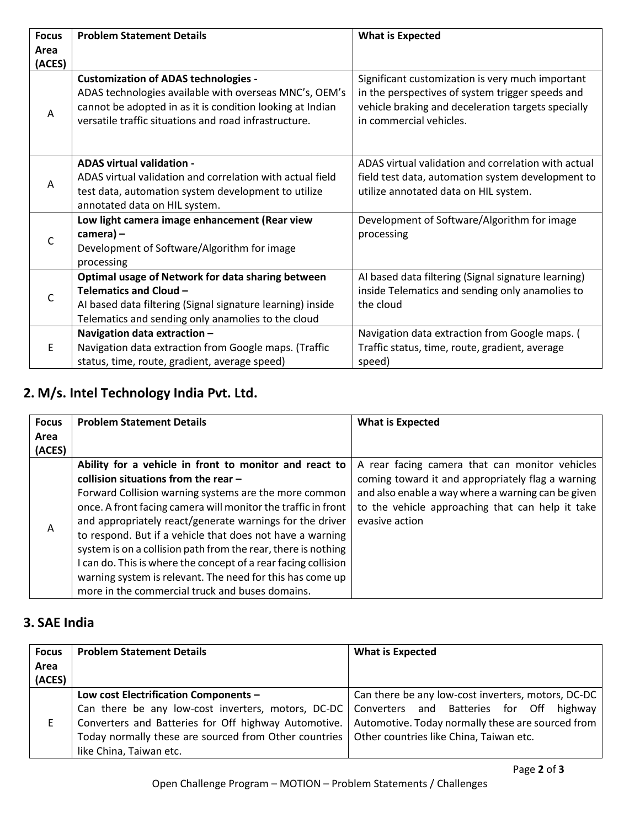| <b>Focus</b> | <b>Problem Statement Details</b>                                                                                                                                                                                            | <b>What is Expected</b>                                                                                                                                                               |
|--------------|-----------------------------------------------------------------------------------------------------------------------------------------------------------------------------------------------------------------------------|---------------------------------------------------------------------------------------------------------------------------------------------------------------------------------------|
| Area         |                                                                                                                                                                                                                             |                                                                                                                                                                                       |
| (ACES)       |                                                                                                                                                                                                                             |                                                                                                                                                                                       |
| A            | <b>Customization of ADAS technologies -</b><br>ADAS technologies available with overseas MNC's, OEM's<br>cannot be adopted in as it is condition looking at Indian<br>versatile traffic situations and road infrastructure. | Significant customization is very much important<br>in the perspectives of system trigger speeds and<br>vehicle braking and deceleration targets specially<br>in commercial vehicles. |
| A            | <b>ADAS virtual validation -</b><br>ADAS virtual validation and correlation with actual field<br>test data, automation system development to utilize<br>annotated data on HIL system.                                       | ADAS virtual validation and correlation with actual<br>field test data, automation system development to<br>utilize annotated data on HIL system.                                     |
| C            | Low light camera image enhancement (Rear view<br>camera) -<br>Development of Software/Algorithm for image<br>processing                                                                                                     | Development of Software/Algorithm for image<br>processing                                                                                                                             |
|              | Optimal usage of Network for data sharing between                                                                                                                                                                           | AI based data filtering (Signal signature learning)                                                                                                                                   |
| C            | Telematics and Cloud -                                                                                                                                                                                                      | inside Telematics and sending only anamolies to                                                                                                                                       |
|              | Al based data filtering (Signal signature learning) inside<br>Telematics and sending only anamolies to the cloud                                                                                                            | the cloud                                                                                                                                                                             |
|              | Navigation data extraction -                                                                                                                                                                                                | Navigation data extraction from Google maps. (                                                                                                                                        |
| E            | Navigation data extraction from Google maps. (Traffic                                                                                                                                                                       | Traffic status, time, route, gradient, average                                                                                                                                        |
|              | status, time, route, gradient, average speed)                                                                                                                                                                               | speed)                                                                                                                                                                                |

# **2. M/s. Intel Technology India Pvt. Ltd.**

| <b>Focus</b><br>Area | <b>Problem Statement Details</b>                               | <b>What is Expected</b>                            |
|----------------------|----------------------------------------------------------------|----------------------------------------------------|
| (ACES)               |                                                                |                                                    |
|                      | Ability for a vehicle in front to monitor and react to         | A rear facing camera that can monitor vehicles     |
|                      | collision situations from the rear $-$                         | coming toward it and appropriately flag a warning  |
|                      | Forward Collision warning systems are the more common          | and also enable a way where a warning can be given |
|                      | once. A front facing camera will monitor the traffic in front  | to the vehicle approaching that can help it take   |
| A                    | and appropriately react/generate warnings for the driver       | evasive action                                     |
|                      | to respond. But if a vehicle that does not have a warning      |                                                    |
|                      | system is on a collision path from the rear, there is nothing  |                                                    |
|                      | I can do. This is where the concept of a rear facing collision |                                                    |
|                      | warning system is relevant. The need for this has come up      |                                                    |
|                      | more in the commercial truck and buses domains.                |                                                    |

### **3. SAE India**

| <b>Focus</b> | <b>Problem Statement Details</b>                                                                | <b>What is Expected</b>                            |
|--------------|-------------------------------------------------------------------------------------------------|----------------------------------------------------|
| Area         |                                                                                                 |                                                    |
| (ACES)       |                                                                                                 |                                                    |
|              | Low cost Electrification Components -                                                           | Can there be any low-cost inverters, motors, DC-DC |
|              | Can there be any low-cost inverters, motors, DC-DC                                              | Converters and Batteries for Off highway           |
|              | Converters and Batteries for Off highway Automotive.                                            | Automotive. Today normally these are sourced from  |
|              | Today normally these are sourced from Other countries   Other countries like China, Taiwan etc. |                                                    |
|              | like China, Taiwan etc.                                                                         |                                                    |